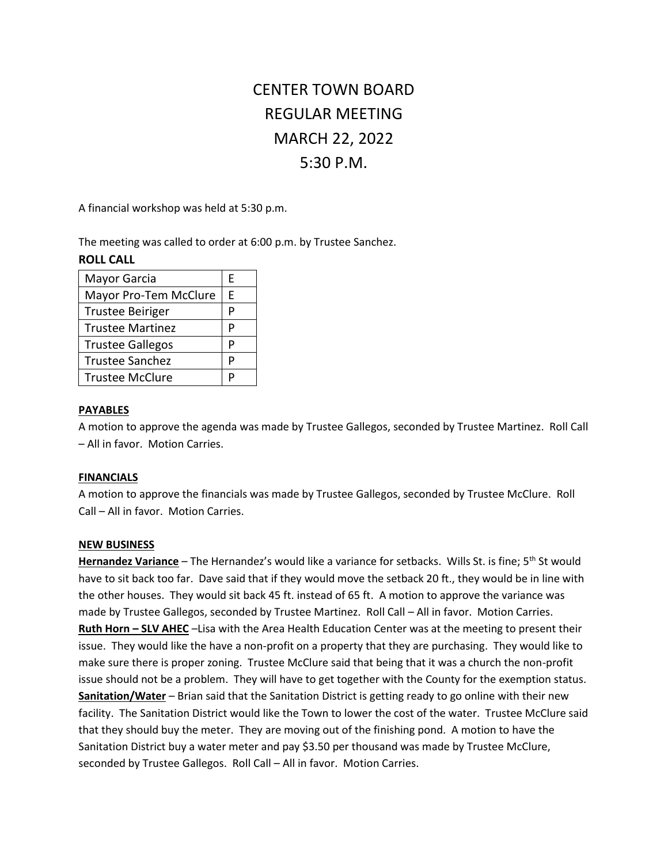# CENTER TOWN BOARD REGULAR MEETING MARCH 22, 2022 5:30 P.M.

A financial workshop was held at 5:30 p.m.

The meeting was called to order at 6:00 p.m. by Trustee Sanchez.

| Mayor Garcia            | F |
|-------------------------|---|
| Mayor Pro-Tem McClure   | F |
| <b>Trustee Beiriger</b> |   |
| <b>Trustee Martinez</b> |   |
| <b>Trustee Gallegos</b> | D |
| <b>Trustee Sanchez</b>  |   |
| <b>Trustee McClure</b>  |   |

# **ROLL CALL**

#### **PAYABLES**

A motion to approve the agenda was made by Trustee Gallegos, seconded by Trustee Martinez. Roll Call – All in favor. Motion Carries.

## **FINANCIALS**

A motion to approve the financials was made by Trustee Gallegos, seconded by Trustee McClure. Roll Call – All in favor. Motion Carries.

#### **NEW BUSINESS**

Hernandez Variance - The Hernandez's would like a variance for setbacks. Wills St. is fine; 5<sup>th</sup> St would have to sit back too far. Dave said that if they would move the setback 20 ft., they would be in line with the other houses. They would sit back 45 ft. instead of 65 ft. A motion to approve the variance was made by Trustee Gallegos, seconded by Trustee Martinez. Roll Call – All in favor. Motion Carries. **Ruth Horn – SLV AHEC** –Lisa with the Area Health Education Center was at the meeting to present their issue. They would like the have a non-profit on a property that they are purchasing. They would like to make sure there is proper zoning. Trustee McClure said that being that it was a church the non-profit issue should not be a problem. They will have to get together with the County for the exemption status. **Sanitation/Water** – Brian said that the Sanitation District is getting ready to go online with their new facility. The Sanitation District would like the Town to lower the cost of the water. Trustee McClure said that they should buy the meter. They are moving out of the finishing pond. A motion to have the Sanitation District buy a water meter and pay \$3.50 per thousand was made by Trustee McClure, seconded by Trustee Gallegos. Roll Call – All in favor. Motion Carries.